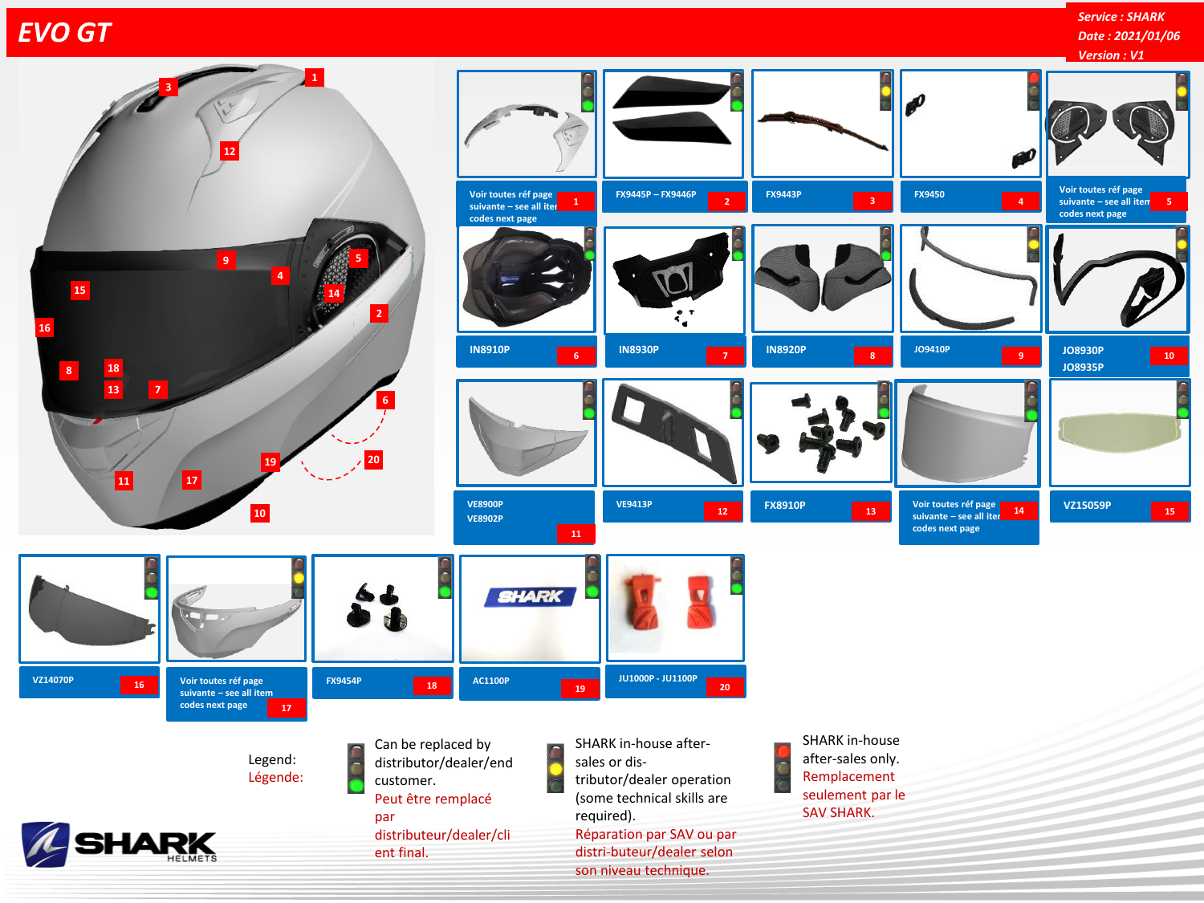## *EVO GT*

**Service :** *Service : SHARK* **Date :** *Date : 2021/01/06*

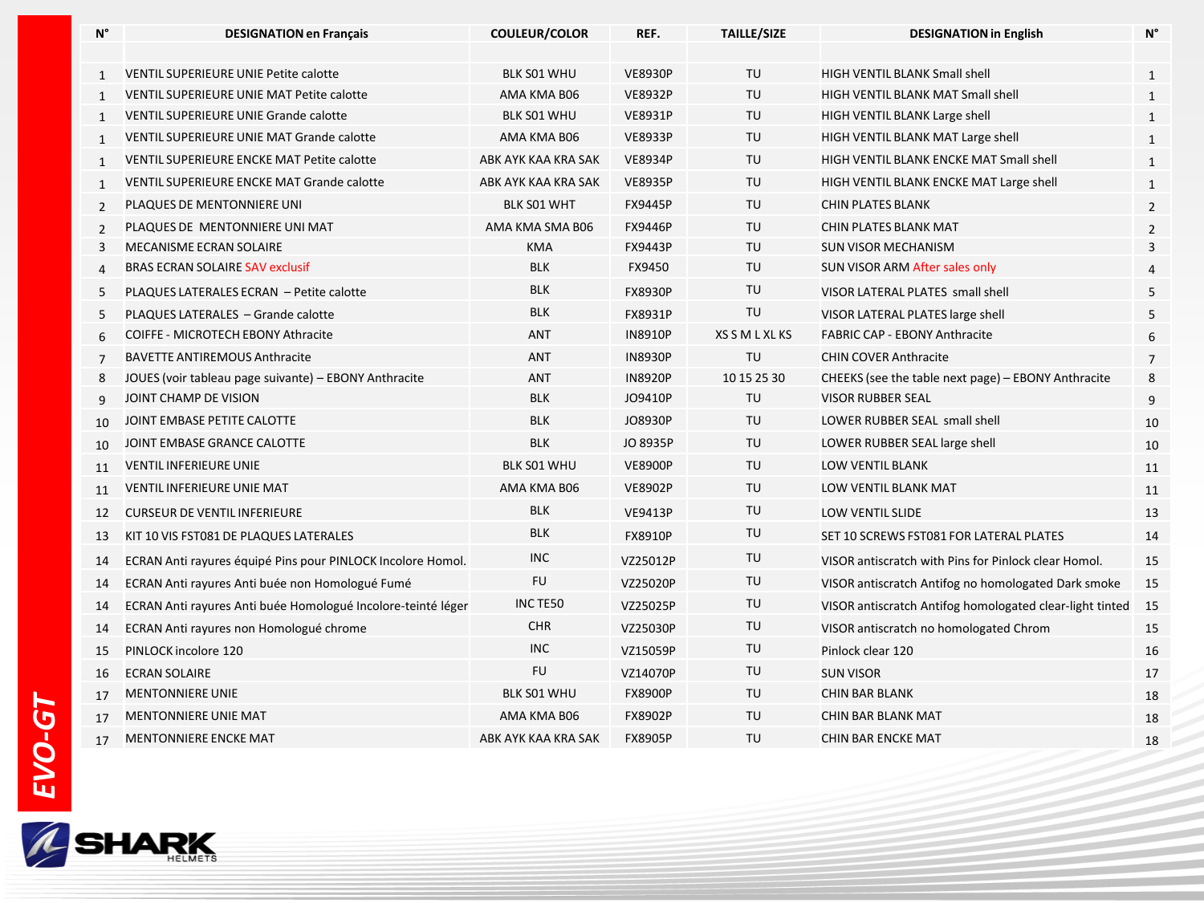| N°             | <b>DESIGNATION en Français</b>                               | <b>COULEUR/COLOR</b> | REF.           | <b>TAILLE/SIZE</b> | <b>DESIGNATION in English</b>                            | N°             |
|----------------|--------------------------------------------------------------|----------------------|----------------|--------------------|----------------------------------------------------------|----------------|
|                |                                                              |                      |                |                    |                                                          |                |
| $\mathbf{1}$   | <b>VENTIL SUPERIEURE UNIE Petite calotte</b>                 | <b>BLK S01 WHU</b>   | <b>VE8930P</b> | TU                 | <b>HIGH VENTIL BLANK Small shell</b>                     | $\mathbf{1}$   |
| $\mathbf{1}$   | <b>VENTIL SUPERIEURE UNIE MAT Petite calotte</b>             | AMA KMA B06          | <b>VE8932P</b> | TU                 | HIGH VENTIL BLANK MAT Small shell                        | 1              |
| $\mathbf{1}$   | <b>VENTIL SUPERIEURE UNIE Grande calotte</b>                 | BLK S01 WHU          | <b>VE8931P</b> | TU                 | HIGH VENTIL BLANK Large shell                            | $\mathbf{1}$   |
| $\mathbf{1}$   | VENTIL SUPERIEURE UNIE MAT Grande calotte                    | AMA KMA B06          | <b>VE8933P</b> | TU                 | HIGH VENTIL BLANK MAT Large shell                        | $\mathbf{1}$   |
| $\mathbf{1}$   | VENTIL SUPERIEURE ENCKE MAT Petite calotte                   | ABK AYK KAA KRA SAK  | <b>VE8934P</b> | TU                 | HIGH VENTIL BLANK ENCKE MAT Small shell                  | 1              |
| $\mathbf{1}$   | VENTIL SUPERIEURE ENCKE MAT Grande calotte                   | ABK AYK KAA KRA SAK  | <b>VE8935P</b> | TU                 | HIGH VENTIL BLANK ENCKE MAT Large shell                  | 1              |
| $\overline{2}$ | PLAQUES DE MENTONNIERE UNI                                   | BLK S01 WHT          | <b>FX9445P</b> | TU                 | <b>CHIN PLATES BLANK</b>                                 | $\overline{2}$ |
| $\overline{2}$ | PLAQUES DE MENTONNIERE UNI MAT                               | AMA KMA SMA B06      | <b>FX9446P</b> | TU                 | <b>CHIN PLATES BLANK MAT</b>                             | $\overline{2}$ |
| 3              | MECANISME ECRAN SOLAIRE                                      | <b>KMA</b>           | FX9443P        | TU                 | <b>SUN VISOR MECHANISM</b>                               | 3              |
| $\overline{4}$ | BRAS ECRAN SOLAIRE SAV exclusif                              | <b>BLK</b>           | FX9450         | TU                 | SUN VISOR ARM After sales only                           | 4              |
| 5              | PLAQUES LATERALES ECRAN - Petite calotte                     | <b>BLK</b>           | <b>FX8930P</b> | TU                 | VISOR LATERAL PLATES small shell                         | 5              |
| 5              | PLAQUES LATERALES - Grande calotte                           | <b>BLK</b>           | FX8931P        | TU                 | VISOR LATERAL PLATES large shell                         | 5              |
| 6              | COIFFE - MICROTECH EBONY Athracite                           | <b>ANT</b>           | <b>IN8910P</b> | XS S M L XL KS     | <b>FABRIC CAP - EBONY Anthracite</b>                     | 6              |
| $\overline{7}$ | <b>BAVETTE ANTIREMOUS Anthracite</b>                         | <b>ANT</b>           | <b>IN8930P</b> | TU                 | <b>CHIN COVER Anthracite</b>                             | $\overline{7}$ |
| 8              | JOUES (voir tableau page suivante) - EBONY Anthracite        | ANT                  | <b>IN8920P</b> | 10 15 25 30        | CHEEKS (see the table next page) - EBONY Anthracite      | 8              |
| 9              | JOINT CHAMP DE VISION                                        | <b>BLK</b>           | JO9410P        | TU                 | <b>VISOR RUBBER SEAL</b>                                 | 9              |
| 10             | JOINT EMBASE PETITE CALOTTE                                  | <b>BLK</b>           | JO8930P        | TU                 | LOWER RUBBER SEAL small shell                            | 10             |
| 10             | JOINT EMBASE GRANCE CALOTTE                                  | <b>BLK</b>           | JO 8935P       | TU                 | LOWER RUBBER SEAL large shell                            | 10             |
| 11             | <b>VENTIL INFERIEURE UNIE</b>                                | BLK S01 WHU          | <b>VE8900P</b> | TU                 | LOW VENTIL BLANK                                         | 11             |
| 11             | <b>VENTIL INFERIEURE UNIE MAT</b>                            | AMA KMA B06          | <b>VE8902P</b> | TU                 | LOW VENTIL BLANK MAT                                     | 11             |
| 12             | <b>CURSEUR DE VENTIL INFERIEURE</b>                          | <b>BLK</b>           | <b>VE9413P</b> | TU                 | <b>LOW VENTIL SLIDE</b>                                  | 13             |
| 13             | KIT 10 VIS FST081 DE PLAQUES LATERALES                       | <b>BLK</b>           | FX8910P        | TU                 | SET 10 SCREWS FST081 FOR LATERAL PLATES                  | 14             |
| 14             | ECRAN Anti rayures équipé Pins pour PINLOCK Incolore Homol.  | <b>INC</b>           | VZ25012P       | TU                 | VISOR antiscratch with Pins for Pinlock clear Homol.     | 15             |
| 14             | ECRAN Anti rayures Anti buée non Homologué Fumé              | <b>FU</b>            | VZ25020P       | TU                 | VISOR antiscratch Antifog no homologated Dark smoke      | 15             |
| 14             | ECRAN Anti rayures Anti buée Homologué Incolore-teinté léger | INC TE50             | VZ25025P       | TU                 | VISOR antiscratch Antifog homologated clear-light tinted | 15             |
| 14             | ECRAN Anti rayures non Homologué chrome                      | <b>CHR</b>           | VZ25030P       | TU                 | VISOR antiscratch no homologated Chrom                   | 15             |
| 15             | PINLOCK incolore 120                                         | <b>INC</b>           | VZ15059P       | TU                 | Pinlock clear 120                                        | 16             |
| 16             | <b>ECRAN SOLAIRE</b>                                         | <b>FU</b>            | VZ14070P       | TU                 | <b>SUN VISOR</b>                                         | 17             |
| 17             | <b>MENTONNIERE UNIE</b>                                      | BLK S01 WHU          | <b>FX8900P</b> | TU                 | <b>CHIN BAR BLANK</b>                                    | 18             |
| 17             | <b>MENTONNIERE UNIE MAT</b>                                  | AMA KMA B06          | FX8902P        | TU                 | <b>CHIN BAR BLANK MAT</b>                                | 18             |
| 17             | <b>MENTONNIERE ENCKE MAT</b>                                 | ABK AYK KAA KRA SAK  | <b>FX8905P</b> | TU                 | <b>CHIN BAR ENCKE MAT</b>                                | 18             |
|                |                                                              |                      |                |                    |                                                          |                |